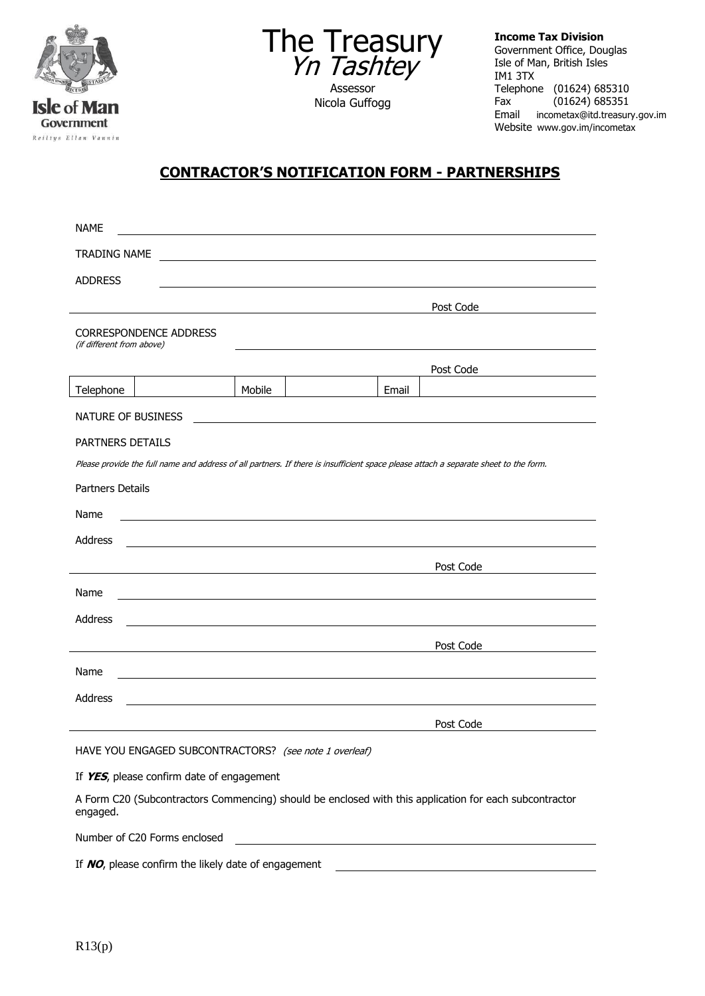



Nicola Guffogg

**Income Tax Division** Government Office, Douglas Isle of Man, British Isles IM1 3TX Telephone (01624) 685310<br>Fax (01624) 685351 (01624) 685351 Email incometax@itd.treasury.gov.im Website www.gov.im/incometax

## **CONTRACTOR'S NOTIFICATION FORM - PARTNERSHIPS**

| <b>NAME</b>                                            |                               |        |  |       |                                                                                                                                      |  |
|--------------------------------------------------------|-------------------------------|--------|--|-------|--------------------------------------------------------------------------------------------------------------------------------------|--|
| TRADING NAME                                           |                               |        |  |       |                                                                                                                                      |  |
| <b>ADDRESS</b>                                         |                               |        |  |       |                                                                                                                                      |  |
|                                                        |                               |        |  |       | Post Code                                                                                                                            |  |
| (if different from above)                              | <b>CORRESPONDENCE ADDRESS</b> |        |  |       |                                                                                                                                      |  |
|                                                        |                               |        |  |       | Post Code                                                                                                                            |  |
| Telephone                                              |                               | Mobile |  | Email |                                                                                                                                      |  |
| NATURE OF BUSINESS                                     |                               |        |  |       |                                                                                                                                      |  |
| PARTNERS DETAILS                                       |                               |        |  |       |                                                                                                                                      |  |
|                                                        |                               |        |  |       | Please provide the full name and address of all partners. If there is insufficient space please attach a separate sheet to the form. |  |
| <b>Partners Details</b>                                |                               |        |  |       |                                                                                                                                      |  |
| Name                                                   |                               |        |  |       |                                                                                                                                      |  |
| Address                                                |                               |        |  |       |                                                                                                                                      |  |
|                                                        |                               |        |  |       | Post Code                                                                                                                            |  |
| Name                                                   |                               |        |  |       |                                                                                                                                      |  |
| Address                                                |                               |        |  |       |                                                                                                                                      |  |
|                                                        |                               |        |  |       | Post Code                                                                                                                            |  |
| Name                                                   |                               |        |  |       |                                                                                                                                      |  |
| Address                                                |                               |        |  |       |                                                                                                                                      |  |
|                                                        |                               |        |  |       | Post Code                                                                                                                            |  |
| HAVE YOU ENGAGED SUBCONTRACTORS? (see note 1 overleaf) |                               |        |  |       |                                                                                                                                      |  |

If **YES**, please confirm date of engagement

A Form C20 (Subcontractors Commencing) should be enclosed with this application for each subcontractor engaged.

Number of C20 Forms enclosed

If **NO**, please confirm the likely date of engagement